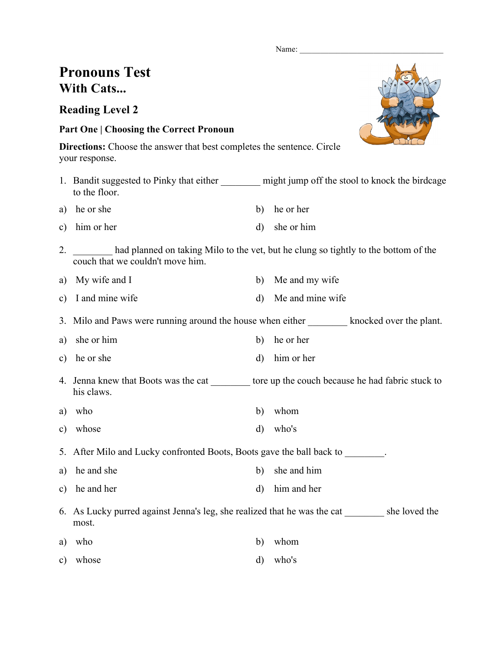Name:

## **Pronouns Test With Cats...**

**Reading Level 2**

## **Part One | Choosing the Correct Pronoun**

**Directions:** Choose the answer that best completes the sentence. Circle your response.

- 1. Bandit suggested to Pinky that either might jump off the stool to knock the birdcage to the floor.
- a) he or she b) he or her c) him or her d) she or him
- 2. \_\_\_\_\_\_\_\_ had planned on taking Milo to the vet, but he clung so tightly to the bottom of the couch that we couldn't move him.
- a) My wife and I b) Me and my wife
- c) I and mine wife d) Me and mine wife

3. Milo and Paws were running around the house when either knocked over the plant.

- a) she or him b) he or her
- c) he or she d) him or her
- 4. Jenna knew that Boots was the cat to tore up the couch because he had fabric stuck to his claws.
- a) who b) whom
- c) whose d) who's

5. After Milo and Lucky confronted Boots, Boots gave the ball back to

- a) he and she b) she and him
- c) he and her d) him and her
- 6. As Lucky purred against Jenna's leg, she realized that he was the cat \_\_\_\_\_\_\_\_ she loved the most.
- a) who b) whom
- c) whose d) who's

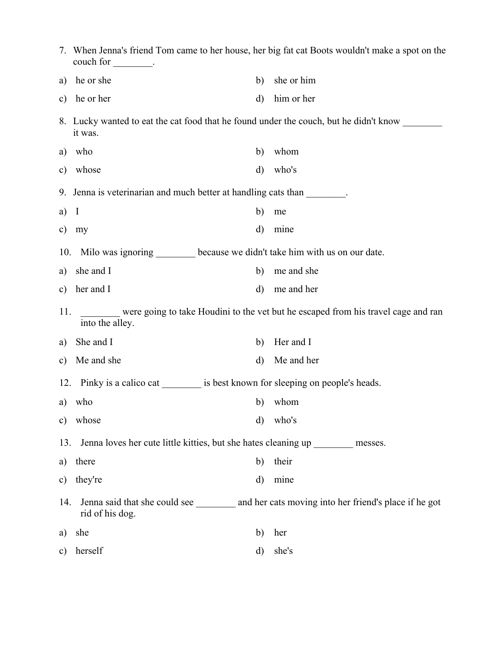|               | 7. When Jenna's friend Tom came to her house, her big fat cat Boots wouldn't make a spot on the<br>couch for $\_\_\_\_\_\_\_\_\_\_\_\_\.$ |              |                                                                                                 |  |  |  |  |  |
|---------------|-------------------------------------------------------------------------------------------------------------------------------------------|--------------|-------------------------------------------------------------------------------------------------|--|--|--|--|--|
| a)            | he or she                                                                                                                                 | b)           | she or him                                                                                      |  |  |  |  |  |
| $\mathbf{c})$ | he or her                                                                                                                                 | $\mathbf{d}$ | him or her                                                                                      |  |  |  |  |  |
|               | it was.                                                                                                                                   |              | 8. Lucky wanted to eat the cat food that he found under the couch, but he didn't know           |  |  |  |  |  |
| a)            | who                                                                                                                                       | b)           | whom                                                                                            |  |  |  |  |  |
| $\mathbf{c})$ | whose                                                                                                                                     | $\mathbf{d}$ | who's                                                                                           |  |  |  |  |  |
|               | 9. Jenna is veterinarian and much better at handling cats than                                                                            |              |                                                                                                 |  |  |  |  |  |
| a)            | $\mathbf I$                                                                                                                               | b)           | me                                                                                              |  |  |  |  |  |
| c)            | my                                                                                                                                        | $\rm d)$     | mine                                                                                            |  |  |  |  |  |
| 10.           | Milo was ignoring ________ because we didn't take him with us on our date.                                                                |              |                                                                                                 |  |  |  |  |  |
| a)            | she and I                                                                                                                                 | b)           | me and she                                                                                      |  |  |  |  |  |
| $\mathbf{c})$ | her and I                                                                                                                                 | $\mathbf{d}$ | me and her                                                                                      |  |  |  |  |  |
|               | were going to take Houdini to the vet but he escaped from his travel cage and ran<br>11.<br>into the alley.                               |              |                                                                                                 |  |  |  |  |  |
| a)            | She and I                                                                                                                                 | b)           | Her and I                                                                                       |  |  |  |  |  |
| $\mathbf{c})$ | Me and she                                                                                                                                | $\rm d$      | Me and her                                                                                      |  |  |  |  |  |
| 12.           | Pinky is a calico cat is best known for sleeping on people's heads.                                                                       |              |                                                                                                 |  |  |  |  |  |
| a)            | who                                                                                                                                       | b)           | whom                                                                                            |  |  |  |  |  |
| $\mathbf{c})$ | whose                                                                                                                                     | $\mathbf{d}$ | who's                                                                                           |  |  |  |  |  |
|               | Jenna loves her cute little kitties, but she hates cleaning up _________ messes.<br>13.                                                   |              |                                                                                                 |  |  |  |  |  |
| a)            | there                                                                                                                                     | b)           | their                                                                                           |  |  |  |  |  |
| $\mathbf{c})$ | they're                                                                                                                                   | $\rm d)$     | mine                                                                                            |  |  |  |  |  |
| 14.           | rid of his dog.                                                                                                                           |              | Jenna said that she could see ___________ and her cats moving into her friend's place if he got |  |  |  |  |  |
| a)            | she                                                                                                                                       | b)           | her                                                                                             |  |  |  |  |  |
| $\mathbf{c})$ | herself                                                                                                                                   | d)           | she's                                                                                           |  |  |  |  |  |
|               |                                                                                                                                           |              |                                                                                                 |  |  |  |  |  |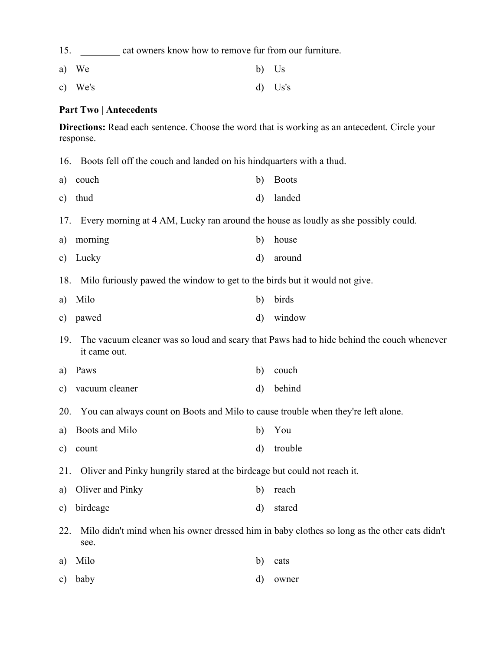15. **Example 2.1** cat owners know how to remove fur from our furniture. a) We b) Us c) We's d) Us's **Part Two | Antecedents Directions:** Read each sentence. Choose the word that is working as an antecedent. Circle your response. 16. Boots fell off the couch and landed on his hindquarters with a thud. a) couch b) Boots c) thud d) landed 17. Every morning at 4 AM, Lucky ran around the house as loudly as she possibly could. a) morning b) house c) Lucky d) around 18. Milo furiously pawed the window to get to the birds but it would not give. a) Milo b) birds c) pawed d) window 19. The vacuum cleaner was so loud and scary that Paws had to hide behind the couch whenever it came out. a) Paws b) couch c) vacuum cleaner d) behind 20. You can always count on Boots and Milo to cause trouble when they're left alone. a) Boots and Milo b) You c) count d) trouble 21. Oliver and Pinky hungrily stared at the birdcage but could not reach it. a) Oliver and Pinky b) reach c) birdcage d) stared 22. Milo didn't mind when his owner dressed him in baby clothes so long as the other cats didn't see. a) Milo b) cats c) baby d) owner